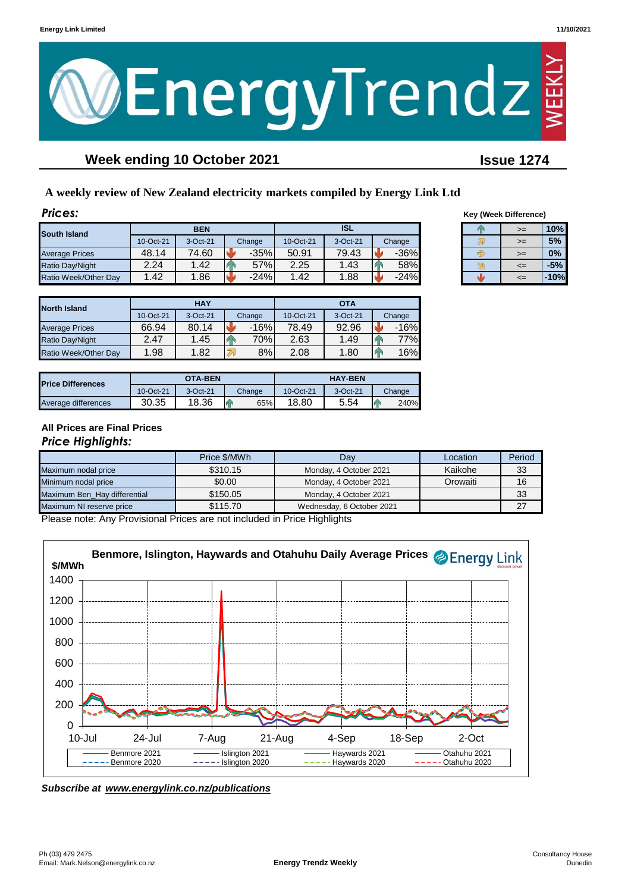

# **Week ending 10 October 2021 Issue 1274**

# **A weekly review of New Zealand electricity markets compiled by Energy Link Ltd**

| Prices:               |           |            |        |            |          |        |      | Key (Week Difference) |        |
|-----------------------|-----------|------------|--------|------------|----------|--------|------|-----------------------|--------|
| <b>South Island</b>   |           | <b>BEN</b> |        | <b>ISL</b> |          |        | $>=$ |                       | 10%    |
|                       | 10-Oct-21 | 3-Oct-21   | Change | 10-Oct-21  | 3-Oct-21 | Change |      | $>=$                  | 5%     |
| <b>Average Prices</b> | 48.14     | 74.60      | $-35%$ | 50.91      | 79.43    | $-36%$ |      | $>=$                  | 0%     |
| Ratio Day/Night       | 2.24      | 1.42       | 57%    | 2.25       | 1.43     | 58%    |      | $\leq$                | $-5%$  |
| Ratio Week/Other Day  | 1.42      | .86        | $-24%$ | .42        | .88      | $-24%$ |      | <=                    | $-10%$ |

| <b>North Island</b>   |           | <b>HAY</b> |                  | <b>OTA</b> |          |          |  |
|-----------------------|-----------|------------|------------------|------------|----------|----------|--|
|                       | 10-Oct-21 | 3-Oct-21   | Change           | 10-Oct-21  | 3-Oct-21 | Change   |  |
| <b>Average Prices</b> | 66.94     | 80.14      | $-16%$           | 78.49      | 92.96    | $-16%$   |  |
| Ratio Day/Night       | 2.47      | 1.45       | 70% <sub>I</sub> | 2.63       | 1.49     | 77%      |  |
| Ratio Week/Other Day  | 1.98      | 1.82       | 8%               | 2.08       | 1.80     | 16%<br>и |  |

| <b>Price Differences</b> |           | OTA-BEN  |        |           | <b>HAY-BEN</b> |        |
|--------------------------|-----------|----------|--------|-----------|----------------|--------|
|                          | 10-Oct-21 | 3-Oct-21 | Change | 10-Oct-21 | 3-Oct-21       | Change |
| Average differences      | 30.35     | 18.36    | 65%    | 18.80     | 5.54           | 240%   |

# **Key (Week Difference)**

| ≔  | 10%    |
|----|--------|
| >≕ | 5%     |
| ≔  | 0%     |
| <= | -5%    |
| ≔  | $-10%$ |

#### **All Prices are Final Prices** *Price Highlights:*

|                              | Price \$/MWh | Dav                       | Location | Period |
|------------------------------|--------------|---------------------------|----------|--------|
| Maximum nodal price          | \$310.15     | Monday, 4 October 2021    | Kaikohe  | 33     |
| Minimum nodal price          | \$0.00       | Monday, 4 October 2021    | Orowaiti | 16     |
| Maximum Ben Hay differential | \$150.05     | Monday, 4 October 2021    |          | 33     |
| Maximum NI reserve price     | \$115.70     | Wednesday, 6 October 2021 |          | 27     |

Please note: Any Provisional Prices are not included in Price Highlights



*Subscribe at www.energylink.co.nz/publications*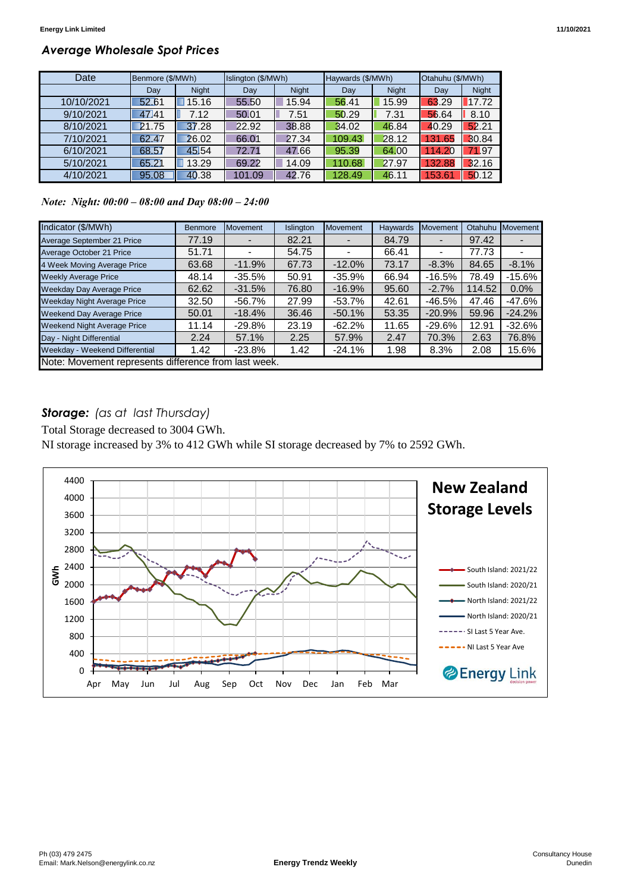# *Average Wholesale Spot Prices*

| Date       | Benmore (\$/MWh) |              | Islington (\$/MWh) |              | Haywards (\$/MWh) |              | Otahuhu (\$/MWh) |              |
|------------|------------------|--------------|--------------------|--------------|-------------------|--------------|------------------|--------------|
|            | Day              | <b>Night</b> | Day                | <b>Night</b> | Day               | <b>Night</b> | Day              | <b>Night</b> |
| 10/10/2021 | 52.61            | 15.16        | 55.50              | 15.94        | 56.41             | 15.99        | 63.29            | 17.72        |
| 9/10/2021  | 47.41            | 7.12         | 50.01              | 7.51         | 50.29             | 7.31         | 56.64            | 8.10         |
| 8/10/2021  | 21.75            | 37.28        | 22.92              | 38.88        | 34.02             | 46.84        | 40.29            | 52.21        |
| 7/10/2021  | 62.47            | 26.02        | 66.01              | 27.34        | 109.43            | 28.12        | 131.65           | 30.84        |
| 6/10/2021  | 68.57            | 45.54        | 72.71              | 47.66        | 95.39             | 64.00        | 14.20            | 71.97        |
| 5/10/2021  | 65.21            | 13.29        | 69.22              | 14.09        | 110.68            | 27.97        | 132.88           | 32.16        |
| 4/10/2021  | 95.08            | 40.38        | 101.09             | 42.76        | 128.49            | 46.11        | 153.61           | 50.12        |

*Note: Night: 00:00 – 08:00 and Day 08:00 – 24:00*

| Indicator (\$/MWh)                                   | <b>Benmore</b> | Movement  | Islington | <b>Movement</b> | <b>Haywards</b> | Movement                 | Otahuhu | Movement  |
|------------------------------------------------------|----------------|-----------|-----------|-----------------|-----------------|--------------------------|---------|-----------|
| Average September 21 Price                           | 77.19          |           | 82.21     |                 | 84.79           |                          | 97.42   |           |
| Average October 21 Price                             | 51.71          |           | 54.75     |                 | 66.41           | $\overline{\phantom{0}}$ | 77.73   |           |
| 4 Week Moving Average Price                          | 63.68          | $-11.9%$  | 67.73     | $-12.0%$        | 73.17           | $-8.3%$                  | 84.65   | $-8.1%$   |
| <b>Weekly Average Price</b>                          | 48.14          | $-35.5\%$ | 50.91     | $-35.9%$        | 66.94           | $-16.5%$                 | 78.49   | $-15.6%$  |
| <b>Weekday Day Average Price</b>                     | 62.62          | $-31.5%$  | 76.80     | $-16.9%$        | 95.60           | $-2.7%$                  | 114.52  | 0.0%      |
| <b>Weekday Night Average Price</b>                   | 32.50          | -56.7%    | 27.99     | $-53.7\%$       | 42.61           | -46.5%                   | 47.46   | -47.6%    |
| <b>Weekend Day Average Price</b>                     | 50.01          | $-18.4%$  | 36.46     | $-50.1%$        | 53.35           | $-20.9%$                 | 59.96   | $-24.2%$  |
| <b>Weekend Night Average Price</b>                   | 11.14          | -29.8%    | 23.19     | $-62.2\%$       | 11.65           | $-29.6%$                 | 12.91   | $-32.6\%$ |
| Day - Night Differential                             | 2.24           | 57.1%     | 2.25      | 57.9%           | 2.47            | 70.3%                    | 2.63    | 76.8%     |
| Weekday - Weekend Differential                       | 1.42           | $-23.8%$  | 1.42      | $-24.1%$        | 1.98            | 8.3%                     | 2.08    | 15.6%     |
| Note: Movement represents difference from last week. |                |           |           |                 |                 |                          |         |           |

# *Storage: (as at last Thursday)*

Total Storage decreased to 3004 GWh.

NI storage increased by 3% to 412 GWh while SI storage decreased by 7% to 2592 GWh.

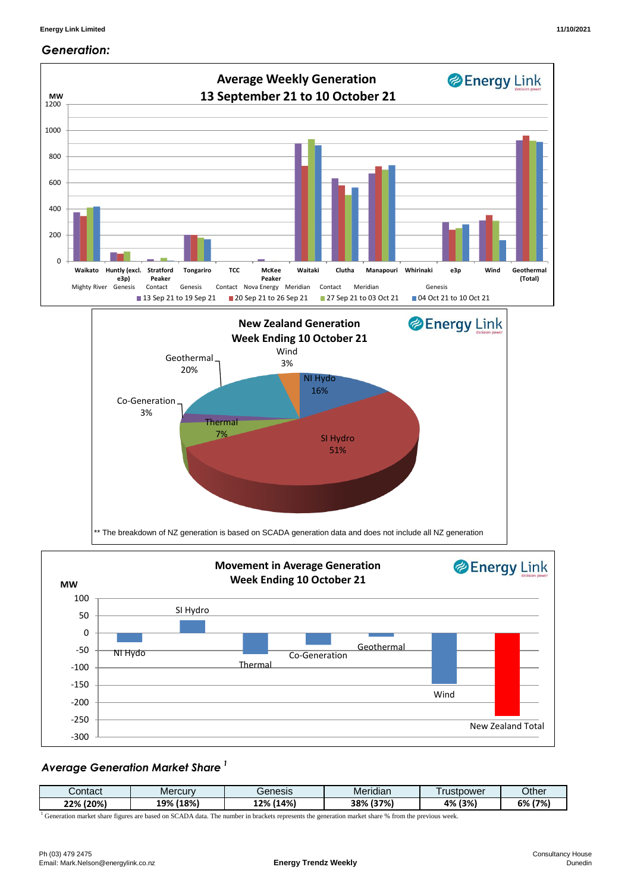#### *Generation:*



### *Average Generation Market Share <sup>1</sup>*

| ∴ontact     | Mercury                              | Benesis                                                 | . .<br>Meridian             | rustpower | Other      |
|-------------|--------------------------------------|---------------------------------------------------------|-----------------------------|-----------|------------|
| (20%<br>つつの | (18%)<br>100/<br>17a<br>∸∸<br>$\sim$ | (14%<br>1.70<br>27 O<br>the contract of the contract of | (37%)<br>/000<br>эо<br>. ZQ | 4% (3%)   | 6%<br>(7%) |

<sup>1</sup> Generation market share figures are based on SCADA data. The number in brackets represents the generation market share % from the previous week.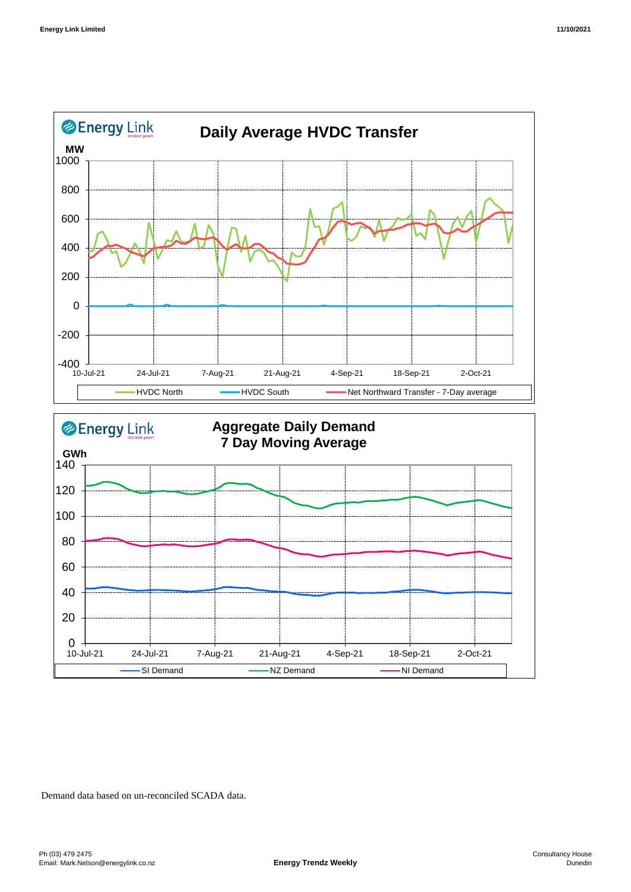



Demand data based on un-reconciled SCADA data.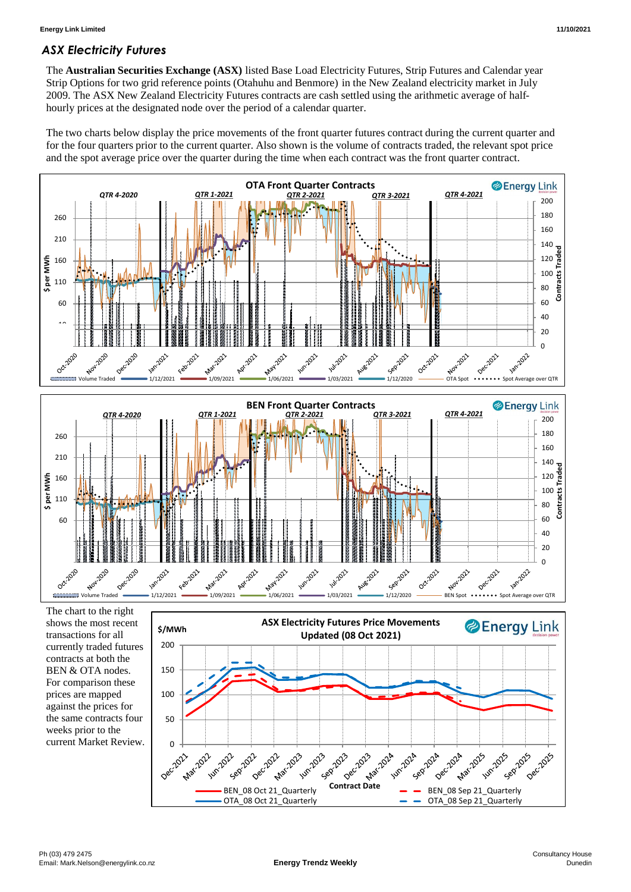## *ASX Electricity Futures*

The **Australian Securities Exchange (ASX)** listed Base Load Electricity Futures, Strip Futures and Calendar year Strip Options for two grid reference points (Otahuhu and Benmore) in the New Zealand electricity market in July 2009. The ASX New Zealand Electricity Futures contracts are cash settled using the arithmetic average of halfhourly prices at the designated node over the period of a calendar quarter.

The two charts below display the price movements of the front quarter futures contract during the current quarter and for the four quarters prior to the current quarter. Also shown is the volume of contracts traded, the relevant spot price and the spot average price over the quarter during the time when each contract was the front quarter contract.



0 +

**Mar-2022** 

122-2022

**12-2022** 

Dec.2021

50

against the prices for the same contracts four weeks prior to the current Market Review.

13 2013

**Contract Date** 

 $\frac{1}{28}$   $\frac{1}{28}$   $\frac{1}{28}$   $\frac{1}{28}$   $\frac{1}{28}$   $\frac{1}{28}$   $\frac{1}{28}$   $\frac{1}{28}$   $\frac{1}{28}$   $\frac{1}{28}$   $\frac{1}{28}$   $\frac{1}{28}$   $\frac{1}{28}$   $\frac{1}{28}$   $\frac{1}{28}$   $\frac{1}{28}$   $\frac{1}{28}$   $\frac{1}{28}$   $\frac{1}{28}$   $\frac{1}{28}$ 

14°2014

**Seprant** 

Dec.2024

OTA\_08 Sep 21\_Quarterly

**1**1/12/2015

**125-2015** 

Dec.2025